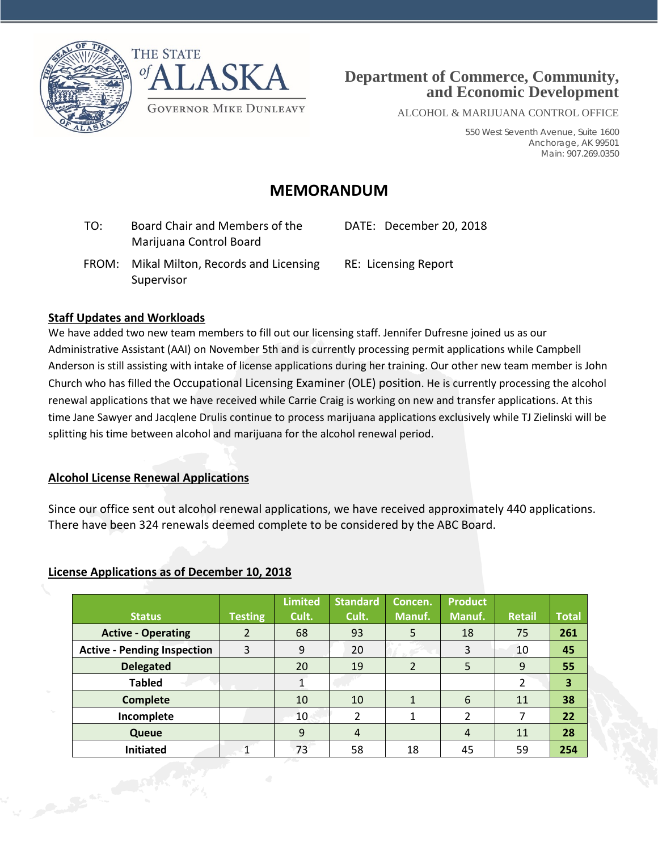



ALCOHOL & MARIJUANA CONTROL OFFICE

550 West Seventh Avenue, Suite 1600 Anchorage, AK 99501 Main: 907.269.0350

## **MEMORANDUM**

| TO: |       | Board Chair and Members of the<br>Marijuana Control Board | DATE: December 20, 2018     |
|-----|-------|-----------------------------------------------------------|-----------------------------|
|     | FROM: | Mikal Milton, Records and Licensing                       | <b>RE: Licensing Report</b> |

#### **Staff Updates and Workloads**

Supervisor

We have added two new team members to fill out our licensing staff. Jennifer Dufresne joined us as our Administrative Assistant (AAI) on November 5th and is currently processing permit applications while Campbell Anderson is still assisting with intake of license applications during her training. Our other new team member is John Church who has filled the Occupational Licensing Examiner (OLE) position. He is currently processing the alcohol renewal applications that we have received while Carrie Craig is working on new and transfer applications. At this time Jane Sawyer and Jacqlene Drulis continue to process marijuana applications exclusively while TJ Zielinski will be splitting his time between alcohol and marijuana for the alcohol renewal period.

### **Alcohol License Renewal Applications**

Since our office sent out alcohol renewal applications, we have received approximately 440 applications. There have been 324 renewals deemed complete to be considered by the ABC Board.

### **License Applications as of December 10, 2018**

| <b>Status</b>                      | <b>Testing</b> | <b>Limited</b><br>Cult. | <b>Standard</b><br>Cult. | Concen.<br>Manuf. | <b>Product</b><br>Manuf. | <b>Retail</b> | <b>Total</b> |
|------------------------------------|----------------|-------------------------|--------------------------|-------------------|--------------------------|---------------|--------------|
| <b>Active - Operating</b>          | 2              | 68                      | 93                       | 5                 | 18                       | 75            | 261          |
| <b>Active - Pending Inspection</b> | 3              | 9                       | 20                       |                   | 3                        | 10            | 45           |
| <b>Delegated</b>                   |                | 20                      | 19                       | $\overline{2}$    | 5                        | 9             | 55           |
| <b>Tabled</b>                      |                |                         |                          |                   |                          | 2             | 3            |
| <b>Complete</b>                    |                | 10                      | 10                       |                   | 6                        | 11            | 38           |
| Incomplete                         |                | 10                      | 2                        |                   | 2                        | 7             | 22           |
| Queue                              |                | 9                       | $\overline{4}$           |                   | $\overline{4}$           | 11            | 28           |
| <b>Initiated</b>                   |                | 73                      | 58                       | 18                | 45                       | 59            | 254          |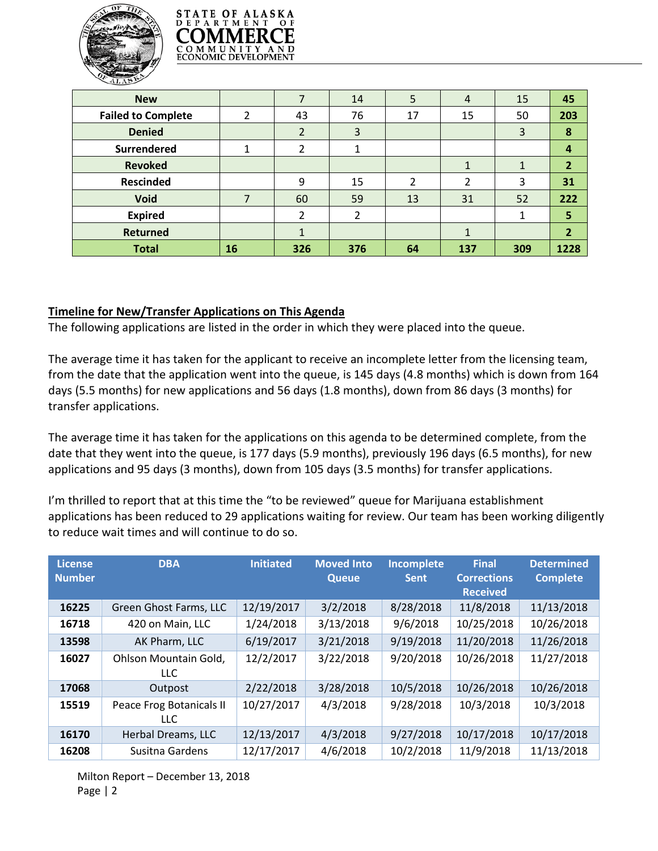



| <b>New</b>                |    |     | 14  | 5  | $\overline{4}$ | 15  | 45               |
|---------------------------|----|-----|-----|----|----------------|-----|------------------|
| <b>Failed to Complete</b> | 2  | 43  | 76  | 17 | 15             | 50  | 203              |
| <b>Denied</b>             |    | 2   | 3   |    |                | 3   | 8                |
| <b>Surrendered</b>        |    |     |     |    |                |     | $\boldsymbol{4}$ |
| <b>Revoked</b>            |    |     |     |    |                |     | $\overline{2}$   |
| <b>Rescinded</b>          |    | 9   | 15  | າ  | າ              | 3   | 31               |
| <b>Void</b>               |    | 60  | 59  | 13 | 31             | 52  | 222              |
| <b>Expired</b>            |    | ∍   | າ   |    |                |     | 5                |
| <b>Returned</b>           |    | 1   |     |    | 1              |     | $\overline{2}$   |
| <b>Total</b>              | 16 | 326 | 376 | 64 | 137            | 309 | 1228             |

#### **Timeline for New/Transfer Applications on This Agenda**

The following applications are listed in the order in which they were placed into the queue.

The average time it has taken for the applicant to receive an incomplete letter from the licensing team, from the date that the application went into the queue, is 145 days (4.8 months) which is down from 164 days (5.5 months) for new applications and 56 days (1.8 months), down from 86 days (3 months) for transfer applications.

The average time it has taken for the applications on this agenda to be determined complete, from the date that they went into the queue, is 177 days (5.9 months), previously 196 days (6.5 months), for new applications and 95 days (3 months), down from 105 days (3.5 months) for transfer applications.

I'm thrilled to report that at this time the "to be reviewed" queue for Marijuana establishment applications has been reduced to 29 applications waiting for review. Our team has been working diligently to reduce wait times and will continue to do so.

| <b>License</b><br><b>Number</b> | <b>DBA</b>                          | <b>Initiated</b> | <b>Moved Into</b><br><b>Queue</b> | Incomplete<br><b>Sent</b> | <b>Final</b><br><b>Corrections</b><br><b>Received</b> | <b>Determined</b><br><b>Complete</b> |
|---------------------------------|-------------------------------------|------------------|-----------------------------------|---------------------------|-------------------------------------------------------|--------------------------------------|
| 16225                           | Green Ghost Farms, LLC              | 12/19/2017       | 3/2/2018                          | 8/28/2018                 | 11/8/2018                                             | 11/13/2018                           |
| 16718                           | 420 on Main, LLC                    | 1/24/2018        | 3/13/2018                         | 9/6/2018                  | 10/25/2018                                            | 10/26/2018                           |
| 13598                           | AK Pharm, LLC                       | 6/19/2017        | 3/21/2018                         | 9/19/2018                 | 11/20/2018                                            | 11/26/2018                           |
| 16027                           | Ohlson Mountain Gold,<br><b>LLC</b> | 12/2/2017        | 3/22/2018                         | 9/20/2018                 | 10/26/2018                                            | 11/27/2018                           |
| 17068                           | Outpost                             | 2/22/2018        | 3/28/2018                         | 10/5/2018                 | 10/26/2018                                            | 10/26/2018                           |
| 15519                           | Peace Frog Botanicals II<br>LLC.    | 10/27/2017       | 4/3/2018                          | 9/28/2018                 | 10/3/2018                                             | 10/3/2018                            |
| 16170                           | Herbal Dreams, LLC                  | 12/13/2017       | 4/3/2018                          | 9/27/2018                 | 10/17/2018                                            | 10/17/2018                           |
| 16208                           | Susitna Gardens                     | 12/17/2017       | 4/6/2018                          | 10/2/2018                 | 11/9/2018                                             | 11/13/2018                           |

Milton Report – December 13, 2018 Page | 2